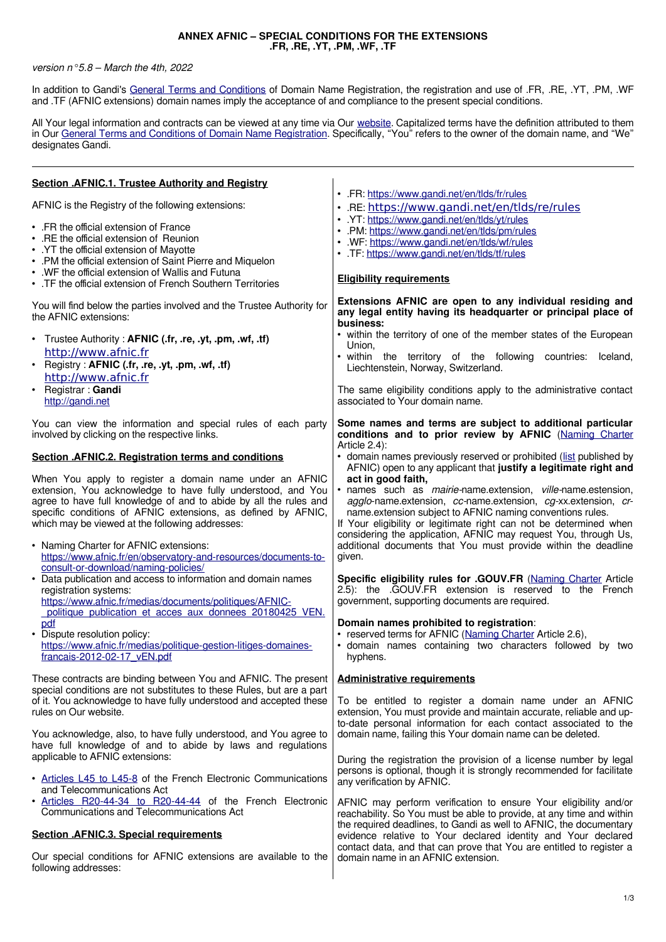## **ANNEX AFNIC – SPECIAL CONDITIONS FOR THE EXTENSIONS .FR, .RE, .YT, .PM, .WF, .TF**

## version  $n°5.8 - March the 4th, 2022$

In addition to Gandi's [General Terms and Conditions](https://www.gandi.net/en/contracts/terms-of-service) of Domain Name Registration, the registration and use of .FR, .RE, .YT, .PM, .WF and .TF (AFNIC extensions) domain names imply the acceptance of and compliance to the present special conditions.

All Your legal information and contracts can be viewed at any time via Our [website.](https://www.gandi.net/en) Capitalized terms have the definition attributed to them in Our [General Terms and Conditions](https://www.gandi.net/en/contracts/terms-of-service) [of Domain Name Registration.](https://contract.gandi.net/v5/contracts/18056/DomainNameConditions_FR_3.0_fr.pdf) Specifically, "You" refers to the owner of the domain name, and "We" designates Gandi.

| <b>Section .AFNIC.1. Trustee Authority and Registry</b>                                                                                                                                                                                                                                                                                                                                                                                                                              |                                                                                                                                                                                                                                                                                                                                                                                                                                                                                                                                                                                  |
|--------------------------------------------------------------------------------------------------------------------------------------------------------------------------------------------------------------------------------------------------------------------------------------------------------------------------------------------------------------------------------------------------------------------------------------------------------------------------------------|----------------------------------------------------------------------------------------------------------------------------------------------------------------------------------------------------------------------------------------------------------------------------------------------------------------------------------------------------------------------------------------------------------------------------------------------------------------------------------------------------------------------------------------------------------------------------------|
| AFNIC is the Registry of the following extensions:                                                                                                                                                                                                                                                                                                                                                                                                                                   | . FR: https://www.gandi.net/en/tlds/fr/rules<br>· .RE: https://www.gandi.net/en/tlds/re/rules                                                                                                                                                                                                                                                                                                                                                                                                                                                                                    |
| • FR the official extension of France<br>• .RE the official extension of Reunion<br>• YT the official extension of Mayotte<br>• .PM the official extension of Saint Pierre and Miquelon<br>• . WF the official extension of Wallis and Futuna<br>• . TF the official extension of French Southern Territories                                                                                                                                                                        | . YT: https://www.gandi.net/en/tlds/yt/rules<br>• .PM: https://www.gandi.net/en/tlds/pm/rules<br>• .WF: https://www.gandi.net/en/tlds/wf/rules<br>. TF: https://www.gandi.net/en/tlds/tf/rules<br><b>Eligibility requirements</b>                                                                                                                                                                                                                                                                                                                                                |
| You will find below the parties involved and the Trustee Authority for<br>the AFNIC extensions:                                                                                                                                                                                                                                                                                                                                                                                      | Extensions AFNIC are open to any individual residing and<br>any legal entity having its headquarter or principal place of<br>business:                                                                                                                                                                                                                                                                                                                                                                                                                                           |
| • Trustee Authority: AFNIC (.fr, .re, .yt, .pm, .wf, .tf)<br>http://www.afnic.fr<br>Registry: AFNIC (.fr, .re, .yt, .pm, .wf, .tf)<br>$\bullet$<br>http://www.afnic.fr<br>Registrar: Gandi<br>$\bullet$<br>http://gandi.net                                                                                                                                                                                                                                                          | • within the territory of one of the member states of the European<br>Union,<br>. within the territory of the following<br>countries:<br>Iceland,<br>Liechtenstein, Norway, Switzerland.<br>The same eligibility conditions apply to the administrative contact<br>associated to Your domain name.                                                                                                                                                                                                                                                                               |
| You can view the information and special rules of each party<br>involved by clicking on the respective links.                                                                                                                                                                                                                                                                                                                                                                        | Some names and terms are subject to additional particular<br>conditions and to prior review by AFNIC (Naming Charter<br>Article 2.4):                                                                                                                                                                                                                                                                                                                                                                                                                                            |
| Section .AFNIC.2. Registration terms and conditions<br>When You apply to register a domain name under an AFNIC<br>extension, You acknowledge to have fully understood, and You<br>agree to have full knowledge of and to abide by all the rules and<br>specific conditions of AFNIC extensions, as defined by AFNIC,<br>which may be viewed at the following addresses:<br>• Naming Charter for AFNIC extensions:<br>https://www.afnic.fr/en/observatory-and-resources/documents-to- | • domain names previously reserved or prohibited (list published by<br>AFNIC) open to any applicant that justify a legitimate right and<br>act in good faith,<br>· names such as mairie-name.extension, ville-name.estension,<br>agglo-name.extension, cc-name.extension, cg-xx.extension, cr-<br>name.extension subject to AFNIC naming conventions rules.<br>If Your eligibility or legitimate right can not be determined when<br>considering the application, AFNIC may request You, through Us,<br>additional documents that You must provide within the deadline<br>given. |
| consult-or-download/naming-policies/<br>• Data publication and access to information and domain names<br>registration systems:<br>https://www.afnic.fr/medias/documents/politiques/AFNIC-<br>politique publication et acces aux donnees 20180425 VEN.<br>pdf<br>• Dispute resolution policy:<br>https://www.afnic.fr/medias/politique-gestion-litiges-domaines-<br>francais-2012-02-17_vEN.pdf                                                                                       | Specific eligibility rules for .GOUV.FR (Naming Charter Article<br>2.5): the .GOUV.FR extension is reserved to the French<br>government, supporting documents are required.<br>Domain names prohibited to registration:<br>• reserved terms for AFNIC (Naming Charter Article 2.6),<br>· domain names containing two characters followed by two<br>hyphens.                                                                                                                                                                                                                      |
| These contracts are binding between You and AFNIC. The present<br>special conditions are not substitutes to these Rules, but are a part<br>of it. You acknowledge to have fully understood and accepted these<br>rules on Our website.<br>You acknowledge, also, to have fully understood, and You agree to<br>have full knowledge of and to abide by laws and regulations                                                                                                           | <b>Administrative requirements</b><br>To be entitled to register a domain name under an AFNIC<br>extension, You must provide and maintain accurate, reliable and up-<br>to-date personal information for each contact associated to the<br>domain name, failing this Your domain name can be deleted.                                                                                                                                                                                                                                                                            |
| applicable to AFNIC extensions:<br>• Articles L45 to L45-8 of the French Electronic Communications<br>and Telecommunications Act                                                                                                                                                                                                                                                                                                                                                     | During the registration the provision of a license number by legal<br>persons is optional, though it is strongly recommended for facilitate<br>any verification by AFNIC.                                                                                                                                                                                                                                                                                                                                                                                                        |
| • Articles R20-44-34 to R20-44-44 of the French Electronic<br>Communications and Telecommunications Act                                                                                                                                                                                                                                                                                                                                                                              | AFNIC may perform verification to ensure Your eligibility and/or<br>reachability. So You must be able to provide, at any time and within<br>the required deadlines, to Gandi as well to AFNIC, the documentary                                                                                                                                                                                                                                                                                                                                                                   |
| <b>Section .AFNIC.3. Special requirements</b>                                                                                                                                                                                                                                                                                                                                                                                                                                        | evidence relative to Your declared identity and Your declared<br>contact data, and that can prove that You are entitled to register a                                                                                                                                                                                                                                                                                                                                                                                                                                            |
| Our special conditions for AFNIC extensions are available to the<br>following addresses:                                                                                                                                                                                                                                                                                                                                                                                             | domain name in an AFNIC extension.                                                                                                                                                                                                                                                                                                                                                                                                                                                                                                                                               |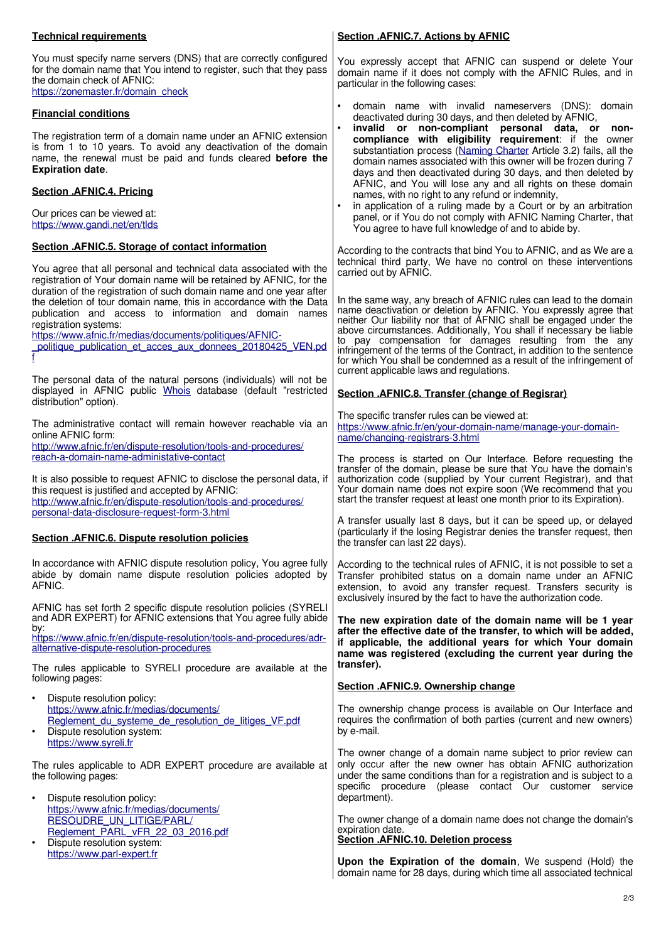## **Technical requirements**

| You must specify name servers (DNS) that are correctly configured<br>for the domain name that You intend to register, such that they pass<br>the domain check of AFNIC:<br>https://zonemaster.fr/domain_check                                                                                                                                                                                                                                                                            | You expressly accept that AFNIC can suspend or delete Your<br>domain name if it does not comply with the AFNIC Rules, and in<br>particular in the following cases:                                                                                                                                                                                                                                                                                                                                                                                                                                                                                                                                                                                 |
|------------------------------------------------------------------------------------------------------------------------------------------------------------------------------------------------------------------------------------------------------------------------------------------------------------------------------------------------------------------------------------------------------------------------------------------------------------------------------------------|----------------------------------------------------------------------------------------------------------------------------------------------------------------------------------------------------------------------------------------------------------------------------------------------------------------------------------------------------------------------------------------------------------------------------------------------------------------------------------------------------------------------------------------------------------------------------------------------------------------------------------------------------------------------------------------------------------------------------------------------------|
| <b>Financial conditions</b><br>The registration term of a domain name under an AFNIC extension<br>is from 1 to 10 years. To avoid any deactivation of the domain<br>name, the renewal must be paid and funds cleared <b>before the</b><br><b>Expiration date.</b><br>Section .AFNIC.4. Pricing<br>Our prices can be viewed at:<br>https://www.gandi.net/en/tlds                                                                                                                          | domain name with invalid nameservers (DNS): domain<br>deactivated during 30 days, and then deleted by AFNIC,<br>invalid or non-compliant personal data, or non-<br>compliance with eligibility requirement: if the owner<br>substantiation process (Naming Charter Article 3.2) fails, all the<br>domain names associated with this owner will be frozen during 7<br>days and then deactivated during 30 days, and then deleted by<br>AFNIC, and You will lose any and all rights on these domain<br>names, with no right to any refund or indemnity,<br>in application of a ruling made by a Court or by an arbitration<br>panel, or if You do not comply with AFNIC Naming Charter, that<br>You agree to have full knowledge of and to abide by. |
| Section .AFNIC.5. Storage of contact information<br>You agree that all personal and technical data associated with the<br>registration of Your domain name will be retained by AFNIC, for the<br>duration of the registration of such domain name and one year after<br>the deletion of tour domain name, this in accordance with the Data<br>publication and access to information and domain names<br>registration systems:<br>https://www.afnic.fr/medias/documents/politiques/AFNIC- | According to the contracts that bind You to AFNIC, and as We are a<br>technical third party, We have no control on these interventions<br>carried out by AFNIC.<br>In the same way, any breach of AFNIC rules can lead to the domain<br>name deactivation or deletion by AFNIC. You expressly agree that<br>neither Our liability nor that of AFNIC shall be engaged under the<br>above circumstances. Additionally, You shall if necessary be liable<br>pay compensation for damages resulting from the any<br>to                                                                                                                                                                                                                                 |
| politique publication et acces aux donnees 20180425 VEN.pd<br>The personal data of the natural persons (individuals) will not be<br>displayed in AFNIC public Whois database (default "restricted<br>distribution" option).                                                                                                                                                                                                                                                              | infringement of the terms of the Contract, in addition to the sentence<br>for which You shall be condemned as a result of the infringement of<br>current applicable laws and regulations.<br>Section .AFNIC.8. Transfer (change of Regisrar)<br>The specific transfer rules can be viewed at:                                                                                                                                                                                                                                                                                                                                                                                                                                                      |
| The administrative contact will remain however reachable via an<br>online AFNIC form:<br>http://www.afnic.fr/en/dispute-resolution/tools-and-procedures/<br>reach-a-domain-name-administative-contact<br>It is also possible to request AFNIC to disclose the personal data, if<br>this request is justified and accepted by AFNIC:<br>http://www.afnic.fr/en/dispute-resolution/tools-and-procedures/                                                                                   | https://www.afnic.fr/en/your-domain-name/manage-your-domain-<br>name/changing-registrars-3.html<br>The process is started on Our Interface. Before requesting the<br>transfer of the domain, please be sure that You have the domain's<br>authorization code (supplied by Your current Registrar), and that<br>Your domain name does not expire soon (We recommend that you<br>start the transfer request at least one month prior to its Expiration).                                                                                                                                                                                                                                                                                             |
| personal-data-disclosure-request-form-3.html<br>Section .AFNIC.6. Dispute resolution policies                                                                                                                                                                                                                                                                                                                                                                                            | A transfer usually last 8 days, but it can be speed up, or delayed<br>(particularly if the losing Registrar denies the transfer request, then<br>the transfer can last 22 days).                                                                                                                                                                                                                                                                                                                                                                                                                                                                                                                                                                   |
| In accordance with AFNIC dispute resolution policy, You agree fully<br>abide by domain name dispute resolution policies adopted by<br>AFNIC.                                                                                                                                                                                                                                                                                                                                             | According to the technical rules of AFNIC, it is not possible to set a<br>Transfer prohibited status on a domain name under an AFNIC<br>extension, to avoid any transfer request. Transfers security is<br>exclusively insured by the fact to have the authorization code.                                                                                                                                                                                                                                                                                                                                                                                                                                                                         |
| AFNIC has set forth 2 specific dispute resolution policies (SYRELI<br>and ADR EXPERT) for AFNIC extensions that You agree fully abide<br>by:<br>https://www.afnic.fr/en/dispute-resolution/tools-and-procedures/adr-<br>alternative-dispute-resolution-procedures<br>The rules applicable to SYRELI procedure are available at the                                                                                                                                                       | The new expiration date of the domain name will be 1 year<br>after the effective date of the transfer, to which will be added,<br>if applicable, the additional years for which Your domain<br>name was registered (excluding the current year during the<br>transfer).                                                                                                                                                                                                                                                                                                                                                                                                                                                                            |
| following pages:                                                                                                                                                                                                                                                                                                                                                                                                                                                                         | Section .AFNIC.9. Ownership change                                                                                                                                                                                                                                                                                                                                                                                                                                                                                                                                                                                                                                                                                                                 |
| Dispute resolution policy:<br>$\bullet$<br>https://www.afnic.fr/medias/documents/<br>Reglement du systeme de resolution de litiges VF.pdf<br>Dispute resolution system:<br>$\bullet$<br>https://www.syreli.fr                                                                                                                                                                                                                                                                            | The ownership change process is available on Our Interface and<br>requires the confirmation of both parties (current and new owners)<br>by e-mail.                                                                                                                                                                                                                                                                                                                                                                                                                                                                                                                                                                                                 |
| The rules applicable to ADR EXPERT procedure are available at<br>the following pages:                                                                                                                                                                                                                                                                                                                                                                                                    | The owner change of a domain name subject to prior review can<br>only occur after the new owner has obtain AFNIC authorization<br>under the same conditions than for a registration and is subject to a<br>specific procedure (please contact Our customer service                                                                                                                                                                                                                                                                                                                                                                                                                                                                                 |
| Dispute resolution policy:<br>٠<br>https://www.afnic.fr/medias/documents/<br><b>RESOUDRE UN LITIGE/PARL/</b><br>Reglement_PARL_vFR_22_03_2016.pdf<br>Dispute resolution system:                                                                                                                                                                                                                                                                                                          | department).<br>The owner change of a domain name does not change the domain's<br>expiration date.<br>Section .AFNIC.10. Deletion process                                                                                                                                                                                                                                                                                                                                                                                                                                                                                                                                                                                                          |

**Section .AFNIC.7. Actions by AFNIC**

[https://www.parl-expert.fr](https://www.parl-expert.fr/)

**Upon the Expiration of the domain**, We suspend (Hold) the domain name for 28 days, during which time all associated technical